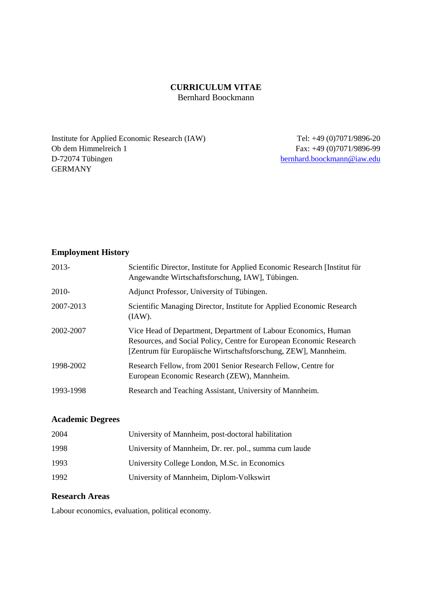## **CURRICULUM VITAE** Bernhard Boockmann

Institute for Applied Economic Research (IAW) Ob dem Himmelreich 1 D-72074 Tübingen GERMANY

 Tel: +49 (0)7071/9896-20 Fax: +49 (0)7071/9896-99 [bernhard.boockmann@iaw.edu](mailto:bernhard.boockmann@iaw.edu)

# **Employment History**

| $2013-$   | Scientific Director, Institute for Applied Economic Research [Institut für<br>Angewandte Wirtschaftsforschung, IAW], Tübingen.                                                                          |
|-----------|---------------------------------------------------------------------------------------------------------------------------------------------------------------------------------------------------------|
| $2010-$   | Adjunct Professor, University of Tübingen.                                                                                                                                                              |
| 2007-2013 | Scientific Managing Director, Institute for Applied Economic Research<br>(IAW).                                                                                                                         |
| 2002-2007 | Vice Head of Department, Department of Labour Economics, Human<br>Resources, and Social Policy, Centre for European Economic Research<br>[Zentrum für Europäische Wirtschaftsforschung, ZEW], Mannheim. |
| 1998-2002 | Research Fellow, from 2001 Senior Research Fellow, Centre for<br>European Economic Research (ZEW), Mannheim.                                                                                            |
| 1993-1998 | Research and Teaching Assistant, University of Mannheim.                                                                                                                                                |

# **Academic Degrees**

| 2004 | University of Mannheim, post-doctoral habilitation     |
|------|--------------------------------------------------------|
| 1998 | University of Mannheim, Dr. rer. pol., summa cum laude |
| 1993 | University College London, M.Sc. in Economics          |
| 1992 | University of Mannheim, Diplom-Volkswirt               |

### **Research Areas**

Labour economics, evaluation, political economy.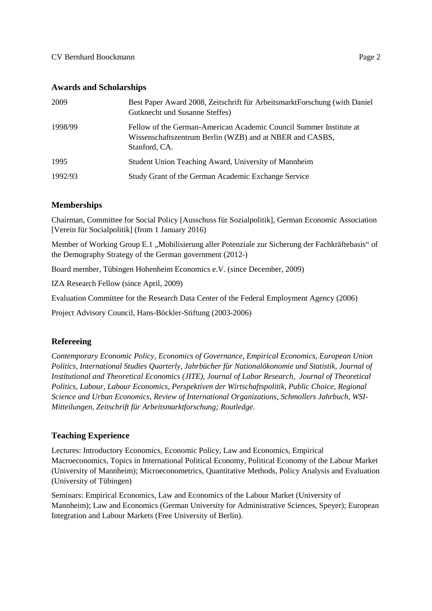### **Awards and Scholarships**

| 2009    | Best Paper Award 2008, Zeitschrift für ArbeitsmarktForschung (with Daniel<br>Gutknecht und Susanne Steffes)                                     |
|---------|-------------------------------------------------------------------------------------------------------------------------------------------------|
| 1998/99 | Fellow of the German-American Academic Council Summer Institute at<br>Wissenschaftszentrum Berlin (WZB) and at NBER and CASBS,<br>Stanford, CA. |
| 1995    | Student Union Teaching Award, University of Mannheim                                                                                            |
| 1992/93 | Study Grant of the German Academic Exchange Service                                                                                             |

### **Memberships**

Chairman, Committee for Social Policy [Ausschuss für Sozialpolitik], German Economic Association [Verein für Socialpolitik] (from 1 January 2016)

Member of Working Group E.1 "Mobilisierung aller Potenziale zur Sicherung der Fachkräftebasis" of the Demography Strategy of the German government (2012-)

Board member, Tübingen Hohenheim Economics e.V. (since December, 2009)

IZA Research Fellow (since April, 2009)

Evaluation Committee for the Research Data Center of the Federal Employment Agency (2006)

Project Advisory Council, Hans-Böckler-Stiftung (2003-2006)

# **Refereeing**

*Contemporary Economic Policy, Economics of Governance, Empirical Economics, European Union Politics, International Studies Quarterly, Jahrbücher für Nationalökonomie und Statistik, Journal of Institutional and Theoretical Economics (JITE), Journal of Labor Research, Journal of Theoretical Politics, Labour, Labour Economics, Perspektiven der Wirtschaftspolitik, Public Choice, Regional Science and Urban Economics, Review of International Organizations, Schmollers Jahrbuch, WSI-Mitteilungen, Zeitschrift für Arbeitsmarktforschung; Routledge.*

### **Teaching Experience**

Lectures: Introductory Economics, Economic Policy, Law and Economics, Empirical Macroeconomics, Topics in International Political Economy, Political Economy of the Labour Market (University of Mannheim); Microeconometrics, Quantitative Methods, Policy Analysis and Evaluation (University of Tübingen)

Seminars: Empirical Economics, Law and Economics of the Labour Market (University of Mannheim); Law and Economics (German University for Administrative Sciences, Speyer); European Integration and Labour Markets (Free University of Berlin).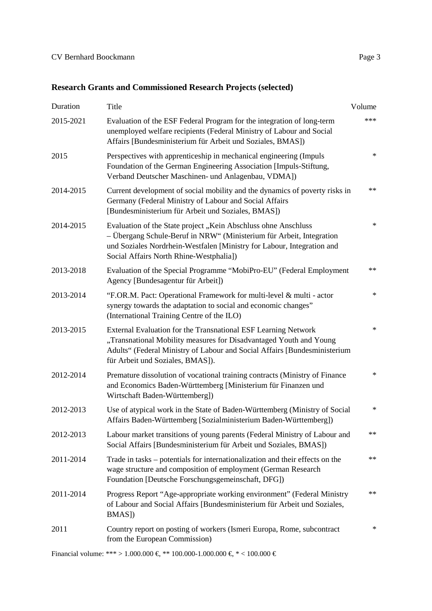| Duration  | Title                                                                                                                                                                                                                                                       | Volume |
|-----------|-------------------------------------------------------------------------------------------------------------------------------------------------------------------------------------------------------------------------------------------------------------|--------|
| 2015-2021 | Evaluation of the ESF Federal Program for the integration of long-term<br>unemployed welfare recipients (Federal Ministry of Labour and Social<br>Affairs [Bundesministerium für Arbeit und Soziales, BMAS])                                                | ***    |
| 2015      | Perspectives with apprenticeship in mechanical engineering (Impuls<br>Foundation of the German Engineering Association [Impuls-Stiftung,<br>Verband Deutscher Maschinen- und Anlagenbau, VDMA])                                                             | $\ast$ |
| 2014-2015 | Current development of social mobility and the dynamics of poverty risks in<br>Germany (Federal Ministry of Labour and Social Affairs<br>[Bundesministerium für Arbeit und Soziales, BMAS])                                                                 | **     |
| 2014-2015 | Evaluation of the State project "Kein Abschluss ohne Anschluss<br>- Übergang Schule-Beruf in NRW" (Ministerium für Arbeit, Integration<br>und Soziales Nordrhein-Westfalen [Ministry for Labour, Integration and<br>Social Affairs North Rhine-Westphalia]) | $\ast$ |
| 2013-2018 | Evaluation of the Special Programme "MobiPro-EU" (Federal Employment<br>Agency [Bundesagentur für Arbeit])                                                                                                                                                  | **     |
| 2013-2014 | "F.OR.M. Pact: Operational Framework for multi-level & multi - actor<br>synergy towards the adaptation to social and economic changes"<br>(International Training Centre of the ILO)                                                                        | $\ast$ |
| 2013-2015 | External Evaluation for the Transnational ESF Learning Network<br>"Transnational Mobility measures for Disadvantaged Youth and Young<br>Adults" (Federal Ministry of Labour and Social Affairs [Bundesministerium<br>für Arbeit und Soziales, BMAS]).       | $\ast$ |
| 2012-2014 | Premature dissolution of vocational training contracts (Ministry of Finance<br>and Economics Baden-Württemberg [Ministerium für Finanzen und<br>Wirtschaft Baden-Württemberg])                                                                              | $\ast$ |
| 2012-2013 | Use of atypical work in the State of Baden-Württemberg (Ministry of Social<br>Affairs Baden-Württemberg [Sozialministerium Baden-Württemberg])                                                                                                              | $\ast$ |
| 2012-2013 | Labour market transitions of young parents (Federal Ministry of Labour and<br>Social Affairs [Bundesministerium für Arbeit und Soziales, BMAS])                                                                                                             | $**$   |
| 2011-2014 | Trade in tasks – potentials for internationalization and their effects on the<br>wage structure and composition of employment (German Research<br>Foundation [Deutsche Forschungsgemeinschaft, DFG])                                                        | **     |
| 2011-2014 | Progress Report "Age-appropriate working environment" (Federal Ministry<br>of Labour and Social Affairs [Bundesministerium für Arbeit und Soziales,<br>BMAS])                                                                                               | **     |
| 2011      | Country report on posting of workers (Ismeri Europa, Rome, subcontract<br>from the European Commission)                                                                                                                                                     | $\ast$ |

Financial volume: \*\*\* > 1.000.000  $\xi$  \*\* 100.000-1.000.000  $\xi$  \* < 100.000  $\xi$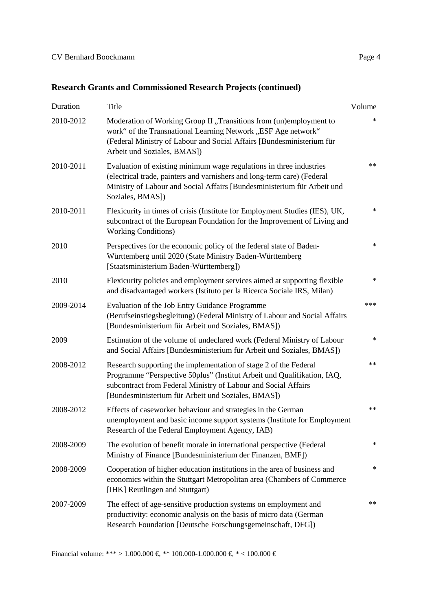# **Research Grants and Commissioned Research Projects (continued)**

| Duration  | Title                                                                                                                                                                                                                                                               | Volume |
|-----------|---------------------------------------------------------------------------------------------------------------------------------------------------------------------------------------------------------------------------------------------------------------------|--------|
| 2010-2012 | Moderation of Working Group II "Transitions from (un)employment to<br>work" of the Transnational Learning Network "ESF Age network"<br>(Federal Ministry of Labour and Social Affairs [Bundesministerium für<br>Arbeit und Soziales, BMAS])                         | $\ast$ |
| 2010-2011 | Evaluation of existing minimum wage regulations in three industries<br>(electrical trade, painters and varnishers and long-term care) (Federal<br>Ministry of Labour and Social Affairs [Bundesministerium für Arbeit und<br>Soziales, BMAS])                       | $**$   |
| 2010-2011 | Flexicurity in times of crisis (Institute for Employment Studies (IES), UK,<br>subcontract of the European Foundation for the Improvement of Living and<br><b>Working Conditions)</b>                                                                               | $\ast$ |
| 2010      | Perspectives for the economic policy of the federal state of Baden-<br>Württemberg until 2020 (State Ministry Baden-Württemberg<br>[Staatsministerium Baden-Württemberg])                                                                                           | $\ast$ |
| 2010      | Flexicurity policies and employment services aimed at supporting flexible<br>and disadvantaged workers (Istituto per la Ricerca Sociale IRS, Milan)                                                                                                                 | $\ast$ |
| 2009-2014 | Evaluation of the Job Entry Guidance Programme<br>(Berufseinstiegsbegleitung) (Federal Ministry of Labour and Social Affairs<br>[Bundesministerium für Arbeit und Soziales, BMAS])                                                                                  | ***    |
| 2009      | Estimation of the volume of undeclared work (Federal Ministry of Labour<br>and Social Affairs [Bundesministerium für Arbeit und Soziales, BMAS])                                                                                                                    | $\ast$ |
| 2008-2012 | Research supporting the implementation of stage 2 of the Federal<br>Programme "Perspective 50plus" (Institut Arbeit und Qualifikation, IAQ,<br>subcontract from Federal Ministry of Labour and Social Affairs<br>[Bundesministerium für Arbeit und Soziales, BMAS]) | $**$   |
| 2008-2012 | Effects of caseworker behaviour and strategies in the German<br>unemployment and basic income support systems (Institute for Employment<br>Research of the Federal Employment Agency, IAB)                                                                          | $**$   |
| 2008-2009 | The evolution of benefit morale in international perspective (Federal<br>Ministry of Finance [Bundesministerium der Finanzen, BMF])                                                                                                                                 | ∗      |
| 2008-2009 | Cooperation of higher education institutions in the area of business and<br>economics within the Stuttgart Metropolitan area (Chambers of Commerce<br>[IHK] Reutlingen and Stuttgart)                                                                               | ∗      |
| 2007-2009 | The effect of age-sensitive production systems on employment and<br>productivity: economic analysis on the basis of micro data (German<br>Research Foundation [Deutsche Forschungsgemeinschaft, DFG])                                                               | $**$   |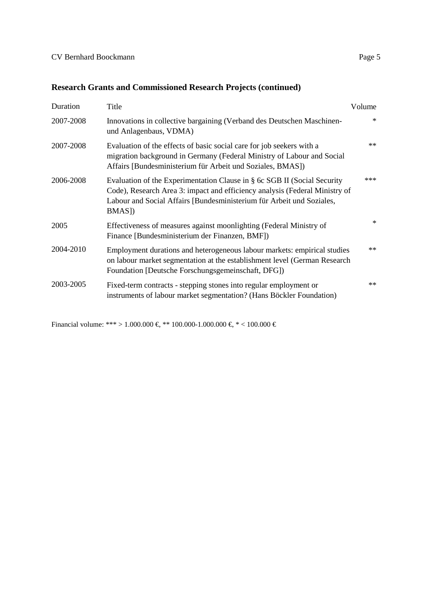# **Research Grants and Commissioned Research Projects (continued)**

| Duration  | Title                                                                                                                                                                                                                                      | Volume |
|-----------|--------------------------------------------------------------------------------------------------------------------------------------------------------------------------------------------------------------------------------------------|--------|
| 2007-2008 | Innovations in collective bargaining (Verband des Deutschen Maschinen-<br>und Anlagenbaus, VDMA)                                                                                                                                           | $\ast$ |
| 2007-2008 | Evaluation of the effects of basic social care for job seekers with a<br>migration background in Germany (Federal Ministry of Labour and Social<br>Affairs [Bundesministerium für Arbeit und Soziales, BMAS])                              | $**$   |
| 2006-2008 | Evaluation of the Experimentation Clause in § 6c SGB II (Social Security<br>Code), Research Area 3: impact and efficiency analysis (Federal Ministry of<br>Labour and Social Affairs [Bundesministerium für Arbeit und Soziales,<br>BMAS]) | ***    |
| 2005      | Effectiveness of measures against moonlighting (Federal Ministry of<br>Finance [Bundesministerium der Finanzen, BMF])                                                                                                                      | $*$    |
| 2004-2010 | Employment durations and heterogeneous labour markets: empirical studies<br>on labour market segmentation at the establishment level (German Research<br>Foundation [Deutsche Forschungsgemeinschaft, DFG])                                | $**$   |
| 2003-2005 | Fixed-term contracts - stepping stones into regular employment or<br>instruments of labour market segmentation? (Hans Böckler Foundation)                                                                                                  | $**$   |

Financial volume: \*\*\* > 1.000.000  $\xi$  \*\* 100.000-1.000.000  $\xi$  \* < 100.000  $\xi$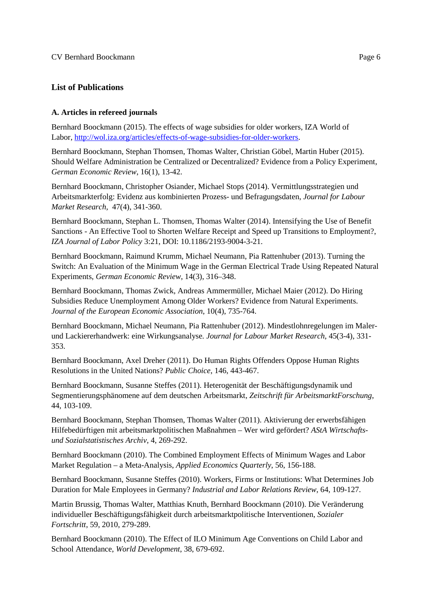## **List of Publications**

### **A. Articles in refereed journals**

Bernhard Boockmann (2015). The effects of wage subsidies for older workers, IZA World of Labor[, http://wol.iza.org/articles/effects-of-wage-subsidies-for-older-workers.](http://wol.iza.org/articles/effects-of-wage-subsidies-for-older-workers)

Bernhard Boockmann, Stephan Thomsen, Thomas Walter, Christian Göbel, Martin Huber (2015). Should Welfare Administration be Centralized or Decentralized? Evidence from a Policy Experiment, *German Economic Review*, 16(1), 13-42.

Bernhard Boockmann, Christopher Osiander, Michael Stops (2014). Vermittlungsstrategien und Arbeitsmarkterfolg: Evidenz aus kombinierten Prozess- und Befragungsdaten, *Journal for Labour Market Research*, 47(4), 341-360.

Bernhard Boockmann, Stephan L. Thomsen, Thomas Walter (2014). Intensifying the Use of Benefit Sanctions - An Effective Tool to Shorten Welfare Receipt and Speed up Transitions to Employment?, *IZA Journal of Labor Policy* 3:21, DOI: 10.1186/2193-9004-3-21.

Bernhard Boockmann, Raimund Krumm, Michael Neumann, Pia Rattenhuber (2013). Turning the Switch: An Evaluation of the Minimum Wage in the German Electrical Trade Using Repeated Natural Experiments, *German Economic Review*, 14(3), 316–348.

Bernhard Boockmann, Thomas Zwick, Andreas Ammermüller, Michael Maier (2012). Do Hiring Subsidies Reduce Unemployment Among Older Workers? Evidence from Natural Experiments. *Journal of the European Economic Association*, 10(4), 735-764.

Bernhard Boockmann, Michael Neumann, Pia Rattenhuber (2012). Mindestlohnregelungen im Malerund Lackiererhandwerk: eine Wirkungsanalyse*. Journal for Labour Market Research*, 45(3-4), 331- 353.

Bernhard Boockmann, Axel Dreher (2011). Do Human Rights Offenders Oppose Human Rights Resolutions in the United Nations? *Public Choice*, 146, 443-467.

Bernhard Boockmann, Susanne Steffes (2011). Heterogenität der Beschäftigungsdynamik und Segmentierungsphänomene auf dem deutschen Arbeitsmarkt, *Zeitschrift für ArbeitsmarktForschung*, 44, 103-109.

Bernhard Boockmann, Stephan Thomsen, Thomas Walter (2011). Aktivierung der erwerbsfähigen Hilfebedürftigen mit arbeitsmarktpolitischen Maßnahmen – Wer wird gefördert? *AStA Wirtschaftsund Sozialstatistisches Archiv*, 4, 269-292.

Bernhard Boockmann (2010). The Combined Employment Effects of Minimum Wages and Labor Market Regulation – a Meta-Analysis, *Applied Economics Quarterly*, 56, 156-188.

Bernhard Boockmann, Susanne Steffes (2010). Workers, Firms or Institutions: What Determines Job Duration for Male Employees in Germany? *Industrial and Labor Relations Review*, 64, 109-127.

Martin Brussig, Thomas Walter, Matthias Knuth, Bernhard Boockmann (2010). Die Veränderung individueller Beschäftigungsfähigkeit durch arbeitsmarktpolitische Interventionen, *Sozialer Fortschritt*, 59, 2010, 279-289.

Bernhard Boockmann (2010). The Effect of ILO Minimum Age Conventions on Child Labor and School Attendance, *World Development*, 38, 679-692.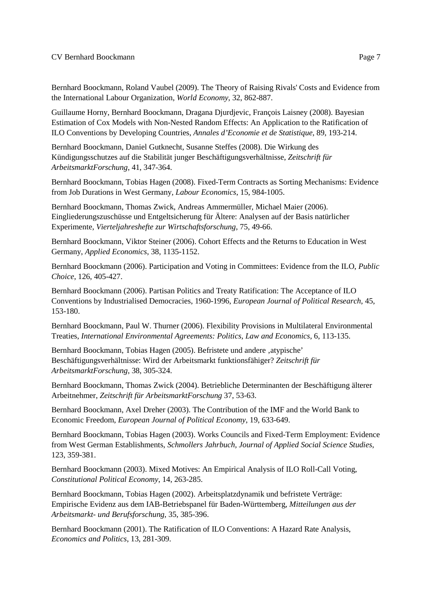Bernhard Boockmann, Roland Vaubel (2009). The Theory of Raising Rivals' Costs and Evidence from the International Labour Organization, *World Economy*, 32, 862-887.

Guillaume Horny, Bernhard Boockmann, Dragana Djurdjevic, François Laisney (2008). Bayesian Estimation of Cox Models with Non-Nested Random Effects: An Application to the Ratification of ILO Conventions by Developing Countries, *Annales d'Economie et de Statistique*, 89, 193-214.

Bernhard Boockmann, Daniel Gutknecht, Susanne Steffes (2008). Die Wirkung des Kündigungsschutzes auf die Stabilität junger Beschäftigungsverhältnisse, *Zeitschrift für ArbeitsmarktForschung*, 41, 347-364.

Bernhard Boockmann, Tobias Hagen (2008). Fixed-Term Contracts as Sorting Mechanisms: Evidence from Job Durations in West Germany*, Labour Economics*, 15, 984-1005.

Bernhard Boockmann, Thomas Zwick, Andreas Ammermüller, Michael Maier (2006). Eingliederungszuschüsse und Entgeltsicherung für Ältere: Analysen auf der Basis natürlicher Experimente, *Vierteljahreshefte zur Wirtschaftsforschung*, 75, 49-66.

Bernhard Boockmann, Viktor Steiner (2006). Cohort Effects and the Returns to Education in West Germany, *Applied Economics*, 38, 1135-1152.

Bernhard Boockmann (2006). Participation and Voting in Committees: Evidence from the ILO, *Public Choice*, 126, 405-427.

Bernhard Boockmann (2006). Partisan Politics and Treaty Ratification: The Acceptance of ILO Conventions by Industrialised Democracies, 1960-1996, *European Journal of Political Research*, 45, 153-180.

Bernhard Boockmann, Paul W. Thurner (2006). Flexibility Provisions in Multilateral Environmental Treaties, *International Environmental Agreements: Politics, Law and Economics*, 6, 113-135.

Bernhard Boockmann, Tobias Hagen (2005). Befristete und andere , atypische' Beschäftigungsverhältnisse: Wird der Arbeitsmarkt funktionsfähiger? *Zeitschrift für ArbeitsmarktForschung*, 38, 305-324.

Bernhard Boockmann, Thomas Zwick (2004). Betriebliche Determinanten der Beschäftigung älterer Arbeitnehmer, *Zeitschrift für ArbeitsmarktForschung* 37, 53-63.

Bernhard Boockmann, Axel Dreher (2003). The Contribution of the IMF and the World Bank to Economic Freedom, *European Journal of Political Economy*, 19, 633-649.

Bernhard Boockmann, Tobias Hagen (2003). Works Councils and Fixed-Term Employment: Evidence from West German Establishments, *Schmollers Jahrbuch, Journal of Applied Social Science Studies*, 123, 359-381.

Bernhard Boockmann (2003). Mixed Motives: An Empirical Analysis of ILO Roll-Call Voting, *Constitutional Political Economy*, 14, 263-285.

Bernhard Boockmann, Tobias Hagen (2002). Arbeitsplatzdynamik und befristete Verträge: Empirische Evidenz aus dem IAB-Betriebspanel für Baden-Württemberg, *Mitteilungen aus der Arbeitsmarkt- und Berufsforschung*, 35, 385-396.

Bernhard Boockmann (2001). The Ratification of ILO Conventions: A Hazard Rate Analysis, *Economics and Politics*, 13, 281-309.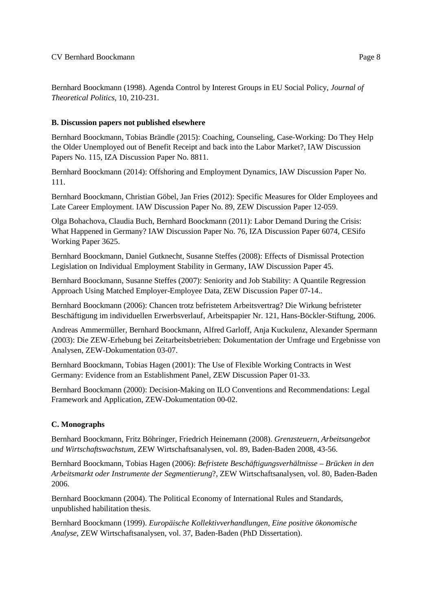Bernhard Boockmann (1998). Agenda Control by Interest Groups in EU Social Policy, *Journal of Theoretical Politics*, 10, 210-231.

### **B. Discussion papers not published elsewhere**

Bernhard Boockmann, Tobias Brändle (2015): Coaching, Counseling, Case-Working: Do They Help the Older Unemployed out of Benefit Receipt and back into the Labor Market?, IAW Discussion Papers No. 115, IZA Discussion Paper No. 8811.

Bernhard Boockmann (2014): Offshoring and Employment Dynamics, IAW Discussion Paper No. 111.

Bernhard Boockmann, Christian Göbel, Jan Fries (2012): Specific Measures for Older Employees and Late Career Employment. IAW Discussion Paper No. 89, ZEW Discussion Paper 12-059.

Olga Bohachova, Claudia Buch, Bernhard Boockmann (2011): Labor Demand During the Crisis: What Happened in Germany? IAW Discussion Paper No. 76, IZA Discussion Paper 6074, CESifo Working Paper 3625.

Bernhard Boockmann, Daniel Gutknecht, Susanne Steffes (2008): Effects of Dismissal Protection Legislation on Individual Employment Stability in Germany, IAW Discussion Paper 45.

Bernhard Boockmann, Susanne Steffes (2007): Seniority and Job Stability: A Quantile Regression Approach Using Matched Employer-Employee Data, ZEW Discussion Paper 07-14..

Bernhard Boockmann (2006): Chancen trotz befristetem Arbeitsvertrag? Die Wirkung befristeter Beschäftigung im individuellen Erwerbsverlauf, Arbeitspapier Nr. 121, Hans-Böckler-Stiftung, 2006.

Andreas Ammermüller, Bernhard Boockmann, Alfred Garloff, Anja Kuckulenz, Alexander Spermann (2003): Die ZEW-Erhebung bei Zeitarbeitsbetrieben: Dokumentation der Umfrage und Ergebnisse von Analysen, ZEW-Dokumentation 03-07.

Bernhard Boockmann, Tobias Hagen (2001): The Use of Flexible Working Contracts in West Germany: Evidence from an Establishment Panel, ZEW Discussion Paper 01-33.

Bernhard Boockmann (2000): Decision-Making on ILO Conventions and Recommendations: Legal Framework and Application, ZEW-Dokumentation 00-02.

# **C. Monographs**

Bernhard Boockmann, Fritz Böhringer, Friedrich Heinemann (2008). *Grenzsteuern, Arbeitsangebot und Wirtschaftswachstum*, ZEW Wirtschaftsanalysen, vol. 89, Baden-Baden 2008, 43-56.

Bernhard Boockmann, Tobias Hagen (2006): *Befristete Beschäftigungsverhältnisse* – *Brücken in den Arbeitsmarkt oder Instrumente der Segmentierung*?, ZEW Wirtschaftsanalysen, vol. 80, Baden-Baden 2006.

Bernhard Boockmann (2004). The Political Economy of International Rules and Standards, unpublished habilitation thesis.

Bernhard Boockmann (1999). *Europäische Kollektivverhandlungen, Eine positive ökonomische Analyse*, ZEW Wirtschaftsanalysen, vol. 37, Baden-Baden (PhD Dissertation).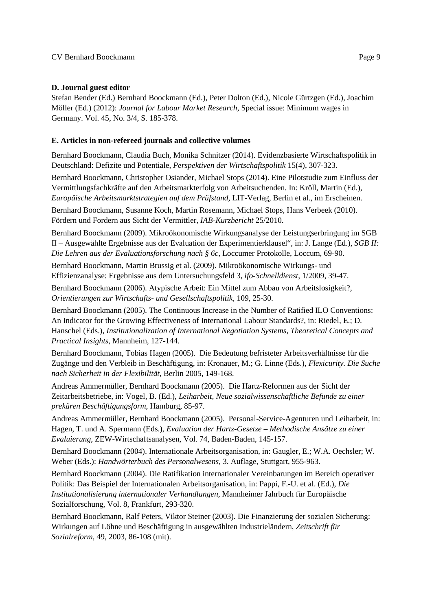### **D. Journal guest editor**

Stefan Bender (Ed.) Bernhard Boockmann (Ed.), Peter Dolton (Ed.), Nicole Gürtzgen (Ed.), Joachim Möller (Ed.) (2012): *Journal for Labour Market Research*, Special issue: Minimum wages in Germany. Vol. 45, No. 3/4, S. 185-378.

### **E. Articles in non-refereed journals and collective volumes**

Bernhard Boockmann, Claudia Buch, Monika Schnitzer (2014). Evidenzbasierte Wirtschaftspolitik in Deutschland: Defizite und Potentiale, *Perspektiven der Wirtschaftspolitik* 15(4), 307-323.

Bernhard Boockmann, Christopher Osiander, Michael Stops (2014). Eine Pilotstudie zum Einfluss der Vermittlungsfachkräfte auf den Arbeitsmarkterfolg von Arbeitsuchenden. In: Kröll, Martin (Ed.), *Europäische Arbeitsmarktstrategien auf dem Prüfstand*, LIT-Verlag, Berlin et al., im Erscheinen.

Bernhard Boockmann, Susanne Koch, Martin Rosemann, Michael Stops, Hans Verbeek (2010). Fördern und Fordern aus Sicht der Vermittler, *IAB-Kurzbericht* 25/2010.

Bernhard Boockmann (2009). Mikroökonomische Wirkungsanalyse der Leistungserbringung im SGB II – Ausgewählte Ergebnisse aus der Evaluation der Experimentierklausel", in: J. Lange (Ed.), *SGB II: Die Lehren aus der Evaluationsforschung nach § 6c*, Loccumer Protokolle, Loccum, 69-90.

Bernhard Boockmann, Martin Brussig et al. (2009). Mikroökonomische Wirkungs- und Effizienzanalyse: Ergebnisse aus dem Untersuchungsfeld 3, *ifo-Schnelldienst*, 1/2009, 39-47.

Bernhard Boockmann (2006). Atypische Arbeit: Ein Mittel zum Abbau von Arbeitslosigkeit?, *Orientierungen zur Wirtschafts- und Gesellschaftspolitik*, 109, 25-30.

Bernhard Boockmann (2005). The Continuous Increase in the Number of Ratified ILO Conventions: An Indicator for the Growing Effectiveness of International Labour Standards?, in: Riedel, E.; D. Hanschel (Eds.), *Institutionalization of International Negotiation Systems*, *Theoretical Concepts and Practical Insights*, Mannheim, 127-144.

Bernhard Boockmann, Tobias Hagen (2005). Die Bedeutung befristeter Arbeitsverhältnisse für die Zugänge und den Verbleib in Beschäftigung, in: Kronauer, M.; G. Linne (Eds.), *Flexicurity. Die Suche nach Sicherheit in der Flexibilität*, Berlin 2005, 149-168.

Andreas Ammermüller, Bernhard Boockmann (2005). Die Hartz-Reformen aus der Sicht der Zeitarbeitsbetriebe, in: Vogel, B. (Ed.), *Leiharbeit, Neue sozialwissenschaftliche Befunde zu einer prekären Beschäftigungsform*, Hamburg, 85-97.

Andreas Ammermüller, Bernhard Boockmann (2005). Personal-Service-Agenturen und Leiharbeit, in: Hagen, T. und A. Spermann (Eds.), *Evaluation der Hartz-Gesetze – Methodische Ansätze zu einer Evaluierung*, ZEW-Wirtschaftsanalysen, Vol. 74, Baden-Baden, 145-157.

Bernhard Boockmann (2004). Internationale Arbeitsorganisation, in: Gaugler, E.; W.A. Oechsler; W. Weber (Eds.): *Handwörterbuch des Personalwesens*, 3. Auflage, Stuttgart, 955-963.

Bernhard Boockmann (2004). Die Ratifikation internationaler Vereinbarungen im Bereich operativer Politik: Das Beispiel der Internationalen Arbeitsorganisation, in: Pappi, F.-U. et al. (Ed.), *Die Institutionalisierung internationaler Verhandlungen*, Mannheimer Jahrbuch für Europäische Sozialforschung, Vol. 8, Frankfurt, 293-320.

Bernhard Boockmann, Ralf Peters, Viktor Steiner (2003). Die Finanzierung der sozialen Sicherung: Wirkungen auf Löhne und Beschäftigung in ausgewählten Industrieländern, *Zeitschrift für Sozialreform*, 49, 2003, 86-108 (mit).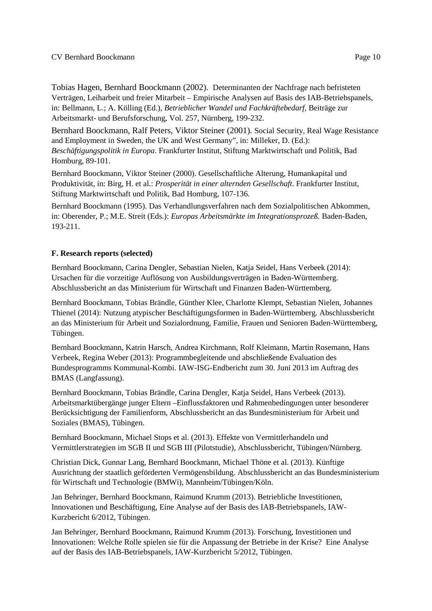Tobias Hagen, Bernhard Boockmann (2002). Determinanten der Nachfrage nach befristeten Verträgen, Leiharbeit und freier Mitarbeit – Empirische Analysen auf Basis des IAB-Betriebspanels, in: Bellmann, L.; A. Kölling (Ed.), *Betrieblicher Wandel und Fachkräftebedarf*, Beiträge zur Arbeitsmarkt- und Berufsforschung, Vol. 257, Nürnberg, 199-232.

Bernhard Boockmann, Ralf Peters, Viktor Steiner (2001). Social Security, Real Wage Resistance and Employment in Sweden, the UK and West Germany", in: Milleker, D. (Ed.): *Beschäftigungspolitik in Europa*. Frankfurter Institut, Stiftung Marktwirtschaft und Politik, Bad Homburg, 89-101.

Bernhard Boockmann, Viktor Steiner (2000). Gesellschaftliche Alterung, Humankapital und Produktivität, in: Birg, H. et al.: *Prosperität in einer alternden Gesellschaft*. Frankfurter Institut, Stiftung Marktwirtschaft und Politik, Bad Homburg, 107-136.

Bernhard Boockmann (1995). Das Verhandlungsverfahren nach dem Sozialpolitischen Abkommen, in: Oberender, P.; M.E. Streit (Eds.): *Europas Arbeitsmärkte im Integrationsprozeß*. Baden-Baden, 193-211.

### **F. Research reports (selected)**

Bernhard Boockmann, Carina Dengler, Sebastian Nielen, Katja Seidel, Hans Verbeek (2014): Ursachen für die vorzeitige Auflösung von Ausbildungsverträgen in Baden-Württemberg. Abschlussbericht an das Ministerium für Wirtschaft und Finanzen Baden-Württemberg.

Bernhard Boockmann, Tobias Brändle, Günther Klee, Charlotte Klempt, Sebastian Nielen, Johannes Thienel (2014): Nutzung atypischer Beschäftigungsformen in Baden-Württemberg. Abschlussbericht an das Ministerium für Arbeit und Sozialordnung, Familie, Frauen und Senioren Baden-Württemberg, Tübingen.

Bernhard Boockmann, Katrin Harsch, Andrea Kirchmann, Rolf Kleimann, Martin Rosemann, Hans Verbeek, Regina Weber (2013): Programmbegleitende und abschließende Evaluation des Bundesprogramms Kommunal-Kombi. IAW-ISG-Endbericht zum 30. Juni 2013 im Auftrag des BMAS (Langfassung).

Bernhard Boockmann, Tobias Brändle, Carina Dengler, Katja Seidel, Hans Verbeek (2013). Arbeitsmarktübergänge junger Eltern –Einflussfaktoren und Rahmenbedingungen unter besonderer Berücksichtigung der Familienform, Abschlussbericht an das Bundesministerium für Arbeit und Soziales (BMAS), Tübingen.

Bernhard Boockmann, Michael Stops et al. (2013). Effekte von Vermittlerhandeln und Vermittlerstrategien im SGB II und SGB III (Pilotstudie), Abschlussbericht, Tübingen/Nürnberg.

Christian Dick, Gunnar Lang, Bernhard Boockmann, Michael Thöne et al. (2013). Künftige Ausrichtung der staatlich geförderten Vermögensbildung. Abschlussbericht an das Bundesministerium für Wirtschaft und Technologie (BMWi), Mannheim/Tübingen/Köln.

Jan Behringer, Bernhard Boockmann, Raimund Krumm (2013). Betriebliche Investitionen, Innovationen und Beschäftigung, Eine Analyse auf der Basis des IAB-Betriebspanels, IAW-Kurzbericht 6/2012, Tübingen.

Jan Behringer, Bernhard Boockmann, Raimund Krumm (2013). Forschung, Investitionen und Innovationen: Welche Rolle spielen sie für die Anpassung der Betriebe in der Krise? Eine Analyse auf der Basis des IAB-Betriebspanels, IAW-Kurzbericht 5/2012, Tübingen.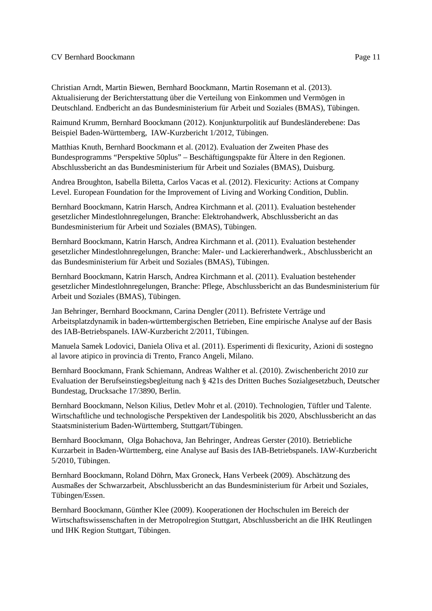Christian Arndt, Martin Biewen, Bernhard Boockmann, Martin Rosemann et al. (2013). Aktualisierung der Berichterstattung über die Verteilung von Einkommen und Vermögen in Deutschland. Endbericht an das Bundesministerium für Arbeit und Soziales (BMAS), Tübingen.

Raimund Krumm, Bernhard Boockmann (2012). Konjunkturpolitik auf Bundesländerebene: Das Beispiel Baden-Württemberg, IAW-Kurzbericht 1/2012, Tübingen.

Matthias Knuth, Bernhard Boockmann et al. (2012). Evaluation der Zweiten Phase des Bundesprogramms "Perspektive 50plus" – Beschäftigungspakte für Ältere in den Regionen. Abschlussbericht an das Bundesministerium für Arbeit und Soziales (BMAS), Duisburg.

Andrea Broughton, Isabella Biletta, Carlos Vacas et al. (2012). Flexicurity: Actions at Company Level. European Foundation for the Improvement of Living and Working Condition, Dublin.

Bernhard Boockmann, Katrin Harsch, Andrea Kirchmann et al. (2011). Evaluation bestehender gesetzlicher Mindestlohnregelungen, Branche: Elektrohandwerk, Abschlussbericht an das Bundesministerium für Arbeit und Soziales (BMAS), Tübingen.

Bernhard Boockmann, Katrin Harsch, Andrea Kirchmann et al. (2011). Evaluation bestehender gesetzlicher Mindestlohnregelungen, Branche: Maler- und Lackiererhandwerk., Abschlussbericht an das Bundesministerium für Arbeit und Soziales (BMAS), Tübingen.

Bernhard Boockmann, Katrin Harsch, Andrea Kirchmann et al. (2011). Evaluation bestehender gesetzlicher Mindestlohnregelungen, Branche: Pflege, Abschlussbericht an das Bundesministerium für Arbeit und Soziales (BMAS), Tübingen.

Jan Behringer, Bernhard Boockmann, Carina Dengler (2011). Befristete Verträge und Arbeitsplatzdynamik in baden-württembergischen Betrieben, Eine empirische Analyse auf der Basis des IAB-Betriebspanels. IAW-Kurzbericht 2/2011, Tübingen.

Manuela Samek Lodovici, Daniela Oliva et al. (2011). Esperimenti di flexicurity, Azioni di sostegno al lavore atipico in provincia di Trento, Franco Angeli, Milano.

Bernhard Boockmann, Frank Schiemann, Andreas Walther et al. (2010). Zwischenbericht 2010 zur Evaluation der Berufseinstiegsbegleitung nach § 421s des Dritten Buches Sozialgesetzbuch, Deutscher Bundestag, Drucksache 17/3890, Berlin.

Bernhard Boockmann, Nelson Kilius, Detlev Mohr et al. (2010). Technologien, Tüftler und Talente. Wirtschaftliche und technologische Perspektiven der Landespolitik bis 2020, Abschlussbericht an das Staatsministerium Baden-Württemberg, Stuttgart/Tübingen.

Bernhard Boockmann, Olga Bohachova, Jan Behringer, Andreas Gerster (2010). Betriebliche Kurzarbeit in Baden-Württemberg, eine Analyse auf Basis des IAB-Betriebspanels. IAW-Kurzbericht 5/2010, Tübingen.

Bernhard Boockmann, Roland Döhrn, Max Groneck, Hans Verbeek (2009). Abschätzung des Ausmaßes der Schwarzarbeit, Abschlussbericht an das Bundesministerium für Arbeit und Soziales, Tübingen/Essen.

Bernhard Boockmann, Günther Klee (2009). Kooperationen der Hochschulen im Bereich der Wirtschaftswissenschaften in der Metropolregion Stuttgart, Abschlussbericht an die IHK Reutlingen und IHK Region Stuttgart, Tübingen.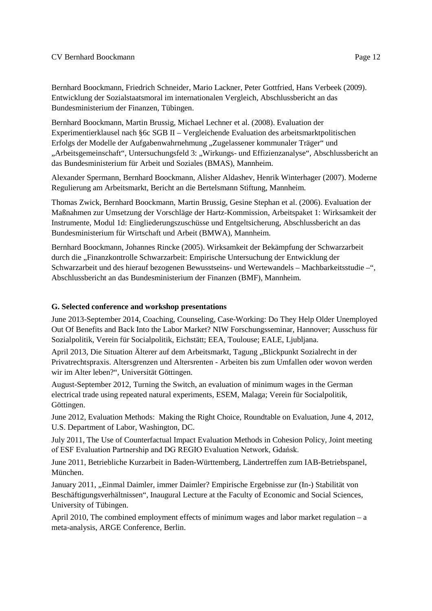Bernhard Boockmann, Friedrich Schneider, Mario Lackner, Peter Gottfried, Hans Verbeek (2009). Entwicklung der Sozialstaatsmoral im internationalen Vergleich, Abschlussbericht an das Bundesministerium der Finanzen, Tübingen.

Bernhard Boockmann, Martin Brussig, Michael Lechner et al. (2008). Evaluation der Experimentierklausel nach §6c SGB II – Vergleichende Evaluation des arbeitsmarktpolitischen Erfolgs der Modelle der Aufgabenwahrnehmung "Zugelassener kommunaler Träger" und "Arbeitsgemeinschaft", Untersuchungsfeld 3: "Wirkungs- und Effizienzanalyse", Abschlussbericht an das Bundesministerium für Arbeit und Soziales (BMAS), Mannheim.

Alexander Spermann, Bernhard Boockmann, Alisher Aldashev, Henrik Winterhager (2007). Moderne Regulierung am Arbeitsmarkt, Bericht an die Bertelsmann Stiftung, Mannheim.

Thomas Zwick, Bernhard Boockmann, Martin Brussig, Gesine Stephan et al. (2006). Evaluation der Maßnahmen zur Umsetzung der Vorschläge der Hartz-Kommission, Arbeitspaket 1: Wirksamkeit der Instrumente, Modul 1d: Eingliederungszuschüsse und Entgeltsicherung, Abschlussbericht an das Bundesministerium für Wirtschaft und Arbeit (BMWA), Mannheim.

Bernhard Boockmann, Johannes Rincke (2005). Wirksamkeit der Bekämpfung der Schwarzarbeit durch die "Finanzkontrolle Schwarzarbeit: Empirische Untersuchung der Entwicklung der Schwarzarbeit und des hierauf bezogenen Bewusstseins- und Wertewandels – Machbarkeitsstudie –", Abschlussbericht an das Bundesministerium der Finanzen (BMF), Mannheim.

#### **G. Selected conference and workshop presentations**

June 2013-September 2014, Coaching, Counseling, Case-Working: Do They Help Older Unemployed Out Of Benefits and Back Into the Labor Market? NIW Forschungsseminar, Hannover; Ausschuss für Sozialpolitik, Verein für Socialpolitik, Eichstätt; EEA, Toulouse; EALE, Ljubljana.

April 2013, Die Situation Älterer auf dem Arbeitsmarkt, Tagung "Blickpunkt Sozialrecht in der Privatrechtspraxis. Altersgrenzen und Altersrenten - Arbeiten bis zum Umfallen oder wovon werden wir im Alter leben?", Universität Göttingen.

August-September 2012, Turning the Switch, an evaluation of minimum wages in the German electrical trade using repeated natural experiments, ESEM, Malaga; Verein für Socialpolitik, Göttingen.

June 2012, Evaluation Methods: Making the Right Choice, Roundtable on Evaluation, June 4, 2012, U.S. Department of Labor, Washington, DC.

July 2011, The Use of Counterfactual Impact Evaluation Methods in Cohesion Policy, Joint meeting of ESF Evaluation Partnership and DG REGIO Evaluation Network, Gdańsk.

June 2011, Betriebliche Kurzarbeit in Baden-Württemberg, Ländertreffen zum IAB-Betriebspanel, München.

January 2011, "Einmal Daimler, immer Daimler? Empirische Ergebnisse zur (In-) Stabilität von Beschäftigungsverhältnissen", Inaugural Lecture at the Faculty of Economic and Social Sciences, University of Tübingen.

April 2010, The combined employment effects of minimum wages and labor market regulation – a meta-analysis, ARGE Conference, Berlin.